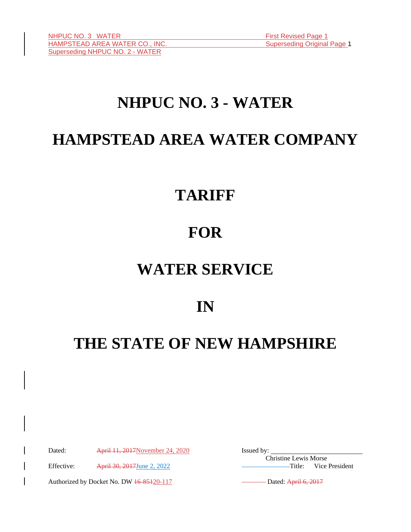# **NHPUC NO. 3 - WATER**

# **HAMPSTEAD AREA WATER COMPANY**

# **TARIFF**

# **FOR**

# **WATER SERVICE**

**IN**

# **THE STATE OF NEW HAMPSHIRE**

Dated: April 11, 2017November 24, 2020 Issued by:

Effective: April 30, 2017 June 2, 2022 Title: Vice President

Authorized by Docket No. DW 46-85120-117 Dated: April 6, 2017

Christine Lewis Morse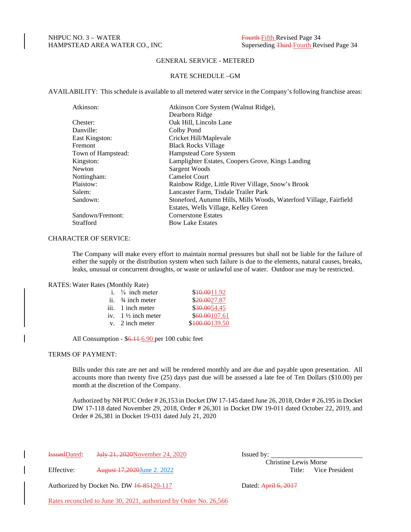## GENERAL SERVICE - METERED

#### RATE SCHEDULE –GM

AVAILABILITY: This schedule is available to all metered water service in the Company's following franchise areas:

| Atkinson:          | Atkinson Core System (Walnut Ridge),                               |
|--------------------|--------------------------------------------------------------------|
|                    | Dearborn Ridge                                                     |
| Chester:           | Oak Hill, Lincoln Lane                                             |
| Danville:          | Colby Pond                                                         |
| East Kingston:     | Cricket Hill/Maplevale                                             |
| <b>Fremont</b>     | <b>Black Rocks Village</b>                                         |
| Town of Hampstead: | Hampstead Core System                                              |
| Kingston:          | Lamplighter Estates, Coopers Grove, Kings Landing                  |
| Newton             | Sargent Woods                                                      |
| Nottingham:        | <b>Camelot Court</b>                                               |
| Plaistow:          | Rainbow Ridge, Little River Village, Snow's Brook                  |
| Salem:             | Lancaster Farm, Tisdale Trailer Park                               |
| Sandown:           | Stoneford, Autumn Hills, Mills Woods, Waterford Village, Fairfield |
|                    | Estates, Wells Village, Kelley Green                               |
| Sandown/Fremont:   | <b>Cornerstone Estates</b>                                         |
| <b>Strafford</b>   | <b>Bow Lake Estates</b>                                            |

#### CHARACTER OF SERVICE:

The Company will make every effort to maintain normal pressures but shall not be liable for the failure of either the supply or the distribution system when such failure is due to the elements, natural causes, breaks, leaks, unusual or concurrent droughts, or waste or unlawful use of water. Outdoor use may be restricted.

#### RATES: Water Rates (Monthly Rate)

| i. $\frac{5}{8}$ inch meter   | \$10,0011.92   |
|-------------------------------|----------------|
| ii. $\frac{3}{4}$ inch meter  | \$20,0027.87   |
| iii. 1 inch meter             | \$30.0054.45   |
| iv. $1\frac{1}{2}$ inch meter | \$60,00107.61  |
| v. 2 inch meter               | \$100.00139.50 |
|                               |                |

All Consumption - \$6.11-6.90 per 100 cubic feet

# TERMS OF PAYMENT:

Bills under this rate are net and will be rendered monthly and are due and payable upon presentation. All accounts more than twenty five (25) days past due will be assessed a late fee of Ten Dollars (\$10.00) per month at the discretion of the Company.

Authorized by NH PUC Order # 26,153 in Docket DW 17-145 dated June 26, 2018, Order # 26,195 in Docket DW 17-118 dated November 29, 2018, Order # 26,301 in Docket DW 19-011 dated October 22, 2019, and Order # 26,381 in Docket 19-031 dated July 21, 2020

IssuedDated: July 21, 2020November 24, 2020 Issued by:

Effective:  $August 17,2020$ June 2. 2022

Christine Lewis Morse

Authorized by Docket No. DW  $\frac{16-85120-117}{20}$  Dated: April 6, 2017

Rates reconciled to June 30, 2021, authorized by Order No. 26,566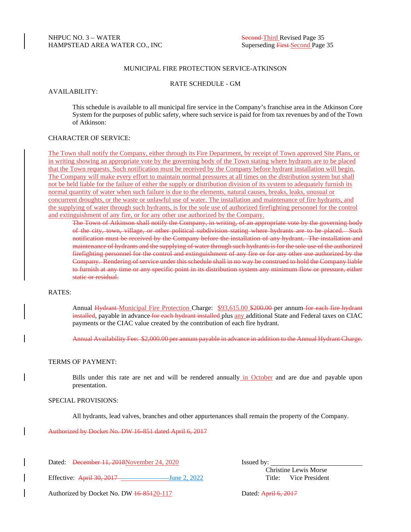## MUNICIPAL FIRE PROTECTION SERVICE-ATKINSON

#### RATE SCHEDULE - GM

#### AVAILABILITY:

This schedule is available to all municipal fire service in the Company's franchise area in the Atkinson Core System for the purposes of public safety, where such service is paid for from tax revenues by and of the Town of Atkinson:

# CHARACTER OF SERVICE:

The Town shall notify the Company, either through its Fire Department, by receipt of Town approved Site Plans, or in writing showing an appropriate vote by the governing body of the Town stating where hydrants are to be placed that the Town requests. Such notification must be received by the Company before hydrant installation will begin. The Company will make every effort to maintain normal pressures at all times on the distribution system but shall not be held liable for the failure of either the supply or distribution division of its system to adequately furnish its normal quantity of water when such failure is due to the elements, natural causes, breaks, leaks, unusual or concurrent droughts, or the waste or unlawful use of water. The installation and maintenance of fire hydrants, and the supplying of water through such hydrants, is for the sole use of authorized firefighting personnel for the control and extinguishment of any fire, or for any other use authorized by the Company.

The Town of Atkinson shall notify the Company, in writing, of an appropriate vote by the governing body of the city, town, village, or other political subdivision stating where hydrants are to be placed. Such notification must be received by the Company before the installation of any hydrant. The installation and maintenance of hydrants and the supplying of water through such hydrants is for the sole use of the authorized firefighting personnel for the control and extinguishment of any fire or for any other use authorized by the Company. Rendering of service under this schedule shall in no way be construed to hold the Company liable to furnish at any time or any specific point in its distribution system any minimum flow or pressure, either static or residual.

#### RATES:

Annual Hydrant-Municipal Fire Protection Charge: \$93,615.00 \$200.00 per annum for each fire hydrant installed, payable in advance for each hydrant installed plus any additional State and Federal taxes on CIAC payments or the CIAC value created by the contribution of each fire hydrant.

Annual Availability Fee: \$2,000.00 per annum payable in advance in addition to the Annual Hydrant Charge.

## TERMS OF PAYMENT:

Bills under this rate are net and will be rendered annually in October and are due and payable upon presentation.

#### SPECIAL PROVISIONS:

All hydrants, lead valves, branches and other appurtenances shall remain the property of the Company.

Authorized by Docket No. DW 16-851 dated April 6, 2017

Dated: <del>December 11, 2018</del>November 24, 2020 Issued by:

Effective: April 30, 2017 June 2, 2022 Title: Vice President

Christine Lewis Morse

Authorized by Docket No. DW  $\frac{16-85120-117}{20}$  Dated: April 6, 2017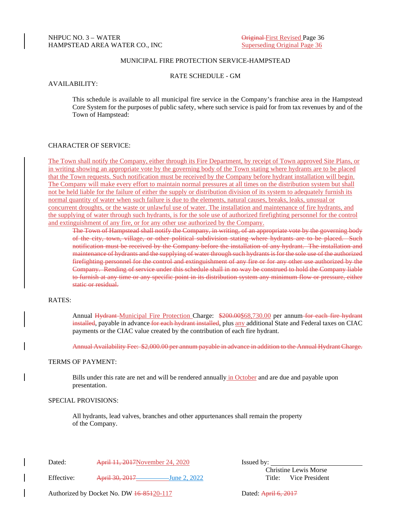## MUNICIPAL FIRE PROTECTION SERVICE-HAMPSTEAD

RATE SCHEDULE - GM

AVAILABILITY:

This schedule is available to all municipal fire service in the Company's franchise area in the Hampstead Core System for the purposes of public safety, where such service is paid for from tax revenues by and of the Town of Hampstead:

### CHARACTER OF SERVICE:

The Town shall notify the Company, either through its Fire Department, by receipt of Town approved Site Plans, or in writing showing an appropriate vote by the governing body of the Town stating where hydrants are to be placed that the Town requests. Such notification must be received by the Company before hydrant installation will begin. The Company will make every effort to maintain normal pressures at all times on the distribution system but shall not be held liable for the failure of either the supply or distribution division of its system to adequately furnish its normal quantity of water when such failure is due to the elements, natural causes, breaks, leaks, unusual or concurrent droughts, or the waste or unlawful use of water. The installation and maintenance of fire hydrants, and the supplying of water through such hydrants, is for the sole use of authorized firefighting personnel for the control and extinguishment of any fire, or for any other use authorized by the Company.

The Town of Hampstead shall notify the Company, in writing, of an appropriate vote by the governing body of the city, town, village, or other political subdivision stating where hydrants are to be placed. Such notification must be received by the Company before the installation of any hydrant. The installation and maintenance of hydrants and the supplying of water through such hydrants is for the sole use of the authorized firefighting personnel for the control and extinguishment of any fire or for any other use authorized by the Company. Rending of service under this schedule shall in no way be construed to hold the Company liable to furnish at any time or any specific point in its distribution system any minimum flow or pressure, either static or residual.

### RATES:

Annual Hydrant Municipal Fire Protection Charge: \$200.00\$68,730.00 per annum for each fire hydrant installed, payable in advance for each hydrant installed, plus any additional State and Federal taxes on CIAC payments or the CIAC value created by the contribution of each fire hydrant.

Annual Availability Fee: \$2,000.00 per annum payable in advance in addition to the Annual Hydrant Charge.

# TERMS OF PAYMENT:

Bills under this rate are net and will be rendered annually in October and are due and payable upon presentation.

#### SPECIAL PROVISIONS:

All hydrants, lead valves, branches and other appurtenances shall remain the property of the Company.

Dated: April 11, 2017November 24, 2020 Issued by:

Effective: April 30, 2017 June 2, 2022 Title: Vice President

Christine Lewis Morse

Authorized by Docket No. DW  $\frac{16-85120-117}{20}$  Dated: April 6, 2017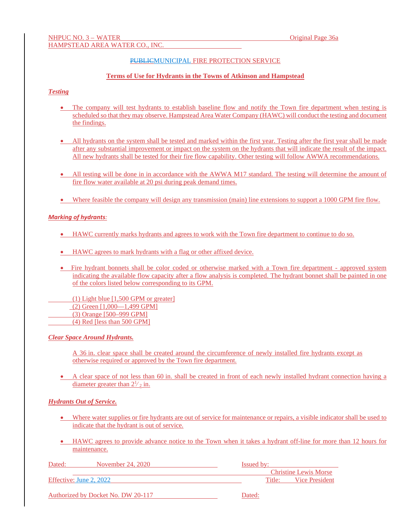## PUBLICMUNICIPAL FIRE PROTECTION SERVICE

#### **Terms of Use for Hydrants in the Towns of Atkinson and Hampstead**

### *Testing*

- The company will test hydrants to establish baseline flow and notify the Town fire department when testing is scheduled so that they may observe. Hampstead Area Water Company (HAWC) will conduct the testing and document the findings.
- All hydrants on the system shall be tested and marked within the first year. Testing after the first year shall be made after any substantial improvement or impact on the system on the hydrants that will indicate the result of the impact. All new hydrants shall be tested for their fire flow capability. Other testing will follow AWWA recommendations.
- All testing will be done in in accordance with the AWWA M17 standard. The testing will determine the amount of fire flow water available at 20 psi during peak demand times.
- Where feasible the company will design any transmission (main) line extensions to support a 1000 GPM fire flow.

#### *Marking of hydrants:*

- HAWC currently marks hydrants and agrees to work with the Town fire department to continue to do so.
- HAWC agrees to mark hydrants with a flag or other affixed device.
- Fire hydrant bonnets shall be color coded or otherwise marked with a Town fire department approved system indicating the available flow capacity after a flow analysis is completed. The hydrant bonnet shall be painted in one of the colors listed below corresponding to its GPM.

 (1) Light blue [1,500 GPM or greater] (2) Green [1,000—1,499 GPM] (3) Orange [500–999 GPM] (4) Red [less than 500 GPM]

*Clear Space Around Hydrants.*

A 36 in. clear space shall be created around the circumference of newly installed fire hydrants except as otherwise required or approved by the Town fire department.

• A clear space of not less than 60 in. shall be created in front of each newly installed hydrant connection having a diameter greater than  $2\frac{1}{2}$  in.

#### *Hydrants Out of Service.*

- Where water supplies or fire hydrants are out of service for maintenance or repairs, a visible indicator shall be used to indicate that the hydrant is out of service*.*
- HAWC agrees to provide advance notice to the Town when it takes a hydrant off-line for more than 12 hours for maintenance.

| Dated: | November 24, 2020       | <b>Issued by:</b>            |
|--------|-------------------------|------------------------------|
|        |                         | <b>Christine Lewis Morse</b> |
|        | Effective: June 2, 2022 | Vice President<br>Title:     |
|        |                         |                              |

| Authorized by Docket No. DW 20-117 |  |
|------------------------------------|--|
|------------------------------------|--|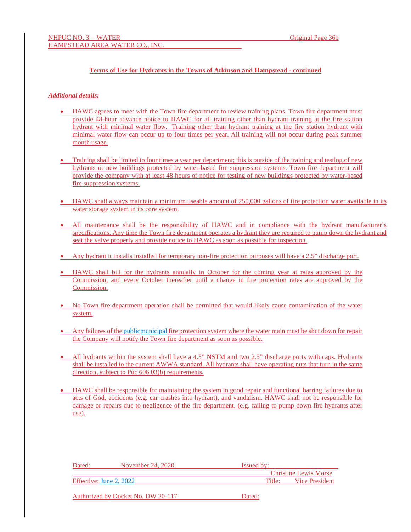## **Terms of Use for Hydrants in the Towns of Atkinson and Hampstead - continued**

### *Additional details:*

- HAWC agrees to meet with the Town fire department to review training plans. Town fire department must provide 48-hour advance notice to HAWC for all training other than hydrant training at the fire station hydrant with minimal water flow. Training other than hydrant training at the fire station hydrant with minimal water flow can occur up to four times per year. All training will not occur during peak summer month usage.
- Training shall be limited to four times a year per department; this is outside of the training and testing of new hydrants or new buildings protected by water-based fire suppression systems. Town fire department will provide the company with at least 48 hours of notice for testing of new buildings protected by water-based fire suppression systems.
- HAWC shall always maintain a minimum useable amount of 250,000 gallons of fire protection water available in its water storage system in its core system.
- All maintenance shall be the responsibility of HAWC and in compliance with the hydrant manufacturer's specifications. Any time the Town fire department operates a hydrant they are required to pump down the hydrant and seat the valve properly and provide notice to HAWC as soon as possible for inspection.
- Any hydrant it installs installed for temporary non-fire protection purposes will have a 2.5" discharge port.
- HAWC shall bill for the hydrants annually in October for the coming year at rates approved by the Commission, and every October thereafter until a change in fire protection rates are approved by the Commission.
- No Town fire department operation shall be permitted that would likely cause contamination of the water system.
- Any failures of the public municipal fire protection system where the water main must be shut down for repair the Company will notify the Town fire department as soon as possible.
- All hydrants within the system shall have a 4.5" NSTM and two 2.5" discharge ports with caps. Hydrants shall be installed to the current AWWA standard. All hydrants shall have operating nuts that turn in the same direction, subject to Puc 606.03(b) requirements.
- HAWC shall be responsible for maintaining the system in good repair and functional barring failures due to acts of God, accidents (e.g. car crashes into hydrant), and vandalism. HAWC shall not be responsible for damage or repairs due to negligence of the fire department. (e.g. failing to pump down fire hydrants after use).

| Dated:                  | November 24, 2020                  | <b>Issued by:</b> |                              |
|-------------------------|------------------------------------|-------------------|------------------------------|
|                         |                                    |                   | <b>Christine Lewis Morse</b> |
| Effective: June 2, 2022 |                                    | Title:            | Vice President               |
|                         | Authorized by Docket No. DW 20-117 | Dated:            |                              |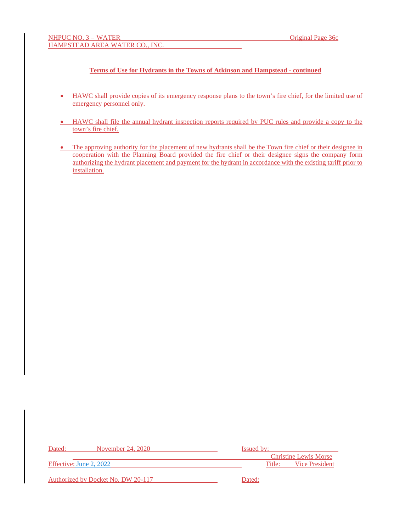# **Terms of Use for Hydrants in the Towns of Atkinson and Hampstead - continued**

- HAWC shall provide copies of its emergency response plans to the town's fire chief, for the limited use of emergency personnel only.
- HAWC shall file the annual hydrant inspection reports required by PUC rules and provide a copy to the town's fire chief.
- The approving authority for the placement of new hydrants shall be the Town fire chief or their designee in cooperation with the Planning Board provided the fire chief or their designee signs the company form authorizing the hydrant placement and payment for the hydrant in accordance with the existing tariff prior to installation.

| Dated:                  | November 24, 2020                  | <b>Issued by:</b> |                              |
|-------------------------|------------------------------------|-------------------|------------------------------|
|                         |                                    |                   | <b>Christine Lewis Morse</b> |
| Effective: June 2, 2022 |                                    |                   | Title: Vice President        |
|                         |                                    |                   |                              |
|                         | Authorized by Docket No. DW 20-117 | Dated:            |                              |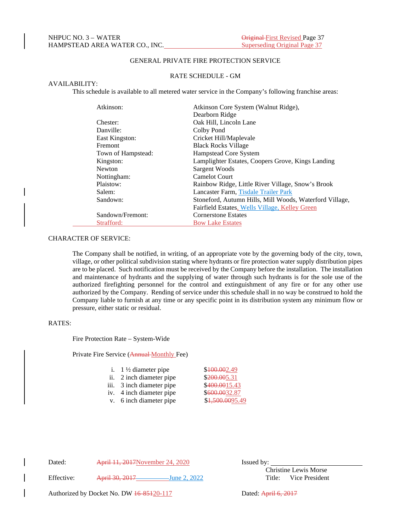# GENERAL PRIVATE FIRE PROTECTION SERVICE

#### RATE SCHEDULE - GM

#### AVAILABILITY:

This schedule is available to all metered water service in the Company's following franchise areas:

| Atkinson:          | Atkinson Core System (Walnut Ridge),                    |
|--------------------|---------------------------------------------------------|
|                    | Dearborn Ridge                                          |
| Chester:           | Oak Hill, Lincoln Lane                                  |
| Danville:          | Colby Pond                                              |
| East Kingston:     | Cricket Hill/Maplevale                                  |
| <b>Fremont</b>     | <b>Black Rocks Village</b>                              |
| Town of Hampstead: | Hampstead Core System                                   |
| Kingston:          | Lamplighter Estates, Coopers Grove, Kings Landing       |
| <b>Newton</b>      | Sargent Woods                                           |
| Nottingham:        | <b>Camelot Court</b>                                    |
| Plaistow:          | Rainbow Ridge, Little River Village, Snow's Brook       |
| Salem:             | Lancaster Farm, Tisdale Trailer Park                    |
| Sandown:           | Stoneford, Autumn Hills, Mill Woods, Waterford Village, |
|                    | Fairfield Estates, Wells Village, Kelley Green          |
| Sandown/Fremont:   | <b>Cornerstone Estates</b>                              |
| Strafford:         | <b>Bow Lake Estates</b>                                 |

# CHARACTER OF SERVICE:

The Company shall be notified, in writing, of an appropriate vote by the governing body of the city, town, village, or other political subdivision stating where hydrants or fire protection water supply distribution pipes are to be placed. Such notification must be received by the Company before the installation. The installation and maintenance of hydrants and the supplying of water through such hydrants is for the sole use of the authorized firefighting personnel for the control and extinguishment of any fire or for any other use authorized by the Company. Rending of service under this schedule shall in no way be construed to hold the Company liable to furnish at any time or any specific point in its distribution system any minimum flow or pressure, either static or residual.

## RATES:

Fire Protection Rate – System-Wide

Private Fire Service (Annual Monthly Fee)

| i. $1\frac{1}{2}$ diameter pipe | \$400.002.49  |
|---------------------------------|---------------|
| ii. 2 inch diameter pipe        | \$200.005.31  |
| iii. 3 inch diameter pipe       | \$400.0015.43 |
| iv. 4 inch diameter pipe        | \$600.0032.87 |
| y 6 inch diameter nine          | 1500009549    |

v. 6 inch diameter pipe  $$1,500.0095.49$ 

Dated: April 11, 2017November 24, 2020 Issued by:

Effective: April 30, 2017 June 2, 2022 Title: Vice President

Christine Lewis Morse

Authorized by Docket No. DW  $\frac{16-85120-117}{20}$  Dated: April 6, 2017